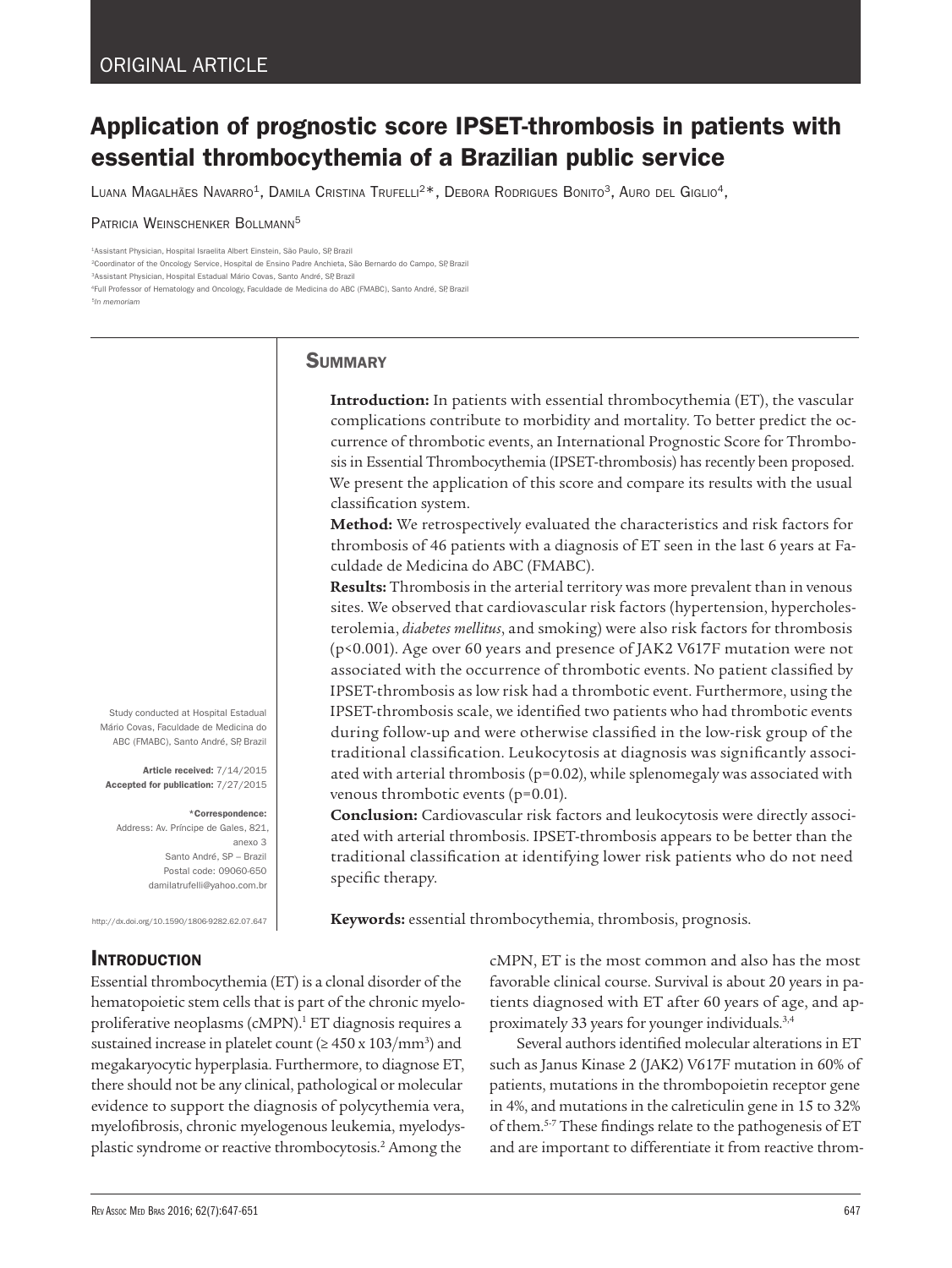# Application of prognostic score IPSET-thrombosis in patients with essential thrombocythemia of a Brazilian public service

LUANA MAGALHÃES NAVARRO<sup>1</sup>, DAMILA CRISTINA TRUFELLI<sup>2\*</sup>, DEBORA RODRIGUES BONITO<sup>3</sup>, AURO DEL GIGLIO<sup>4</sup>,

PATRICIA WEINSCHENKER BOLLMANN<sup>5</sup>

1Assistant Physician, Hospital Israelita Albert Einstein, São Paulo, SP, Brazil

2Coordinator of the Oncology Service, Hospital de Ensino Padre Anchieta, São Bernardo do Campo, SP, Brazil

<sup>3</sup>Assistant Physician, Hospital Estadual Mário Covas, Santo André, SP Brazil

4Full Professor of Hematology and Oncology, Faculdade de Medicina do ABC (FMABC), Santo André, SP, Brazil <sup>5</sup>*In memoriam*

## **SUMMARY**

**Introduction:** In patients with essential thrombocythemia (ET), the vascular complications contribute to morbidity and mortality. To better predict the occurrence of thrombotic events, an International Prognostic Score for Thrombosis in Essential Thrombocythemia (IPSET-thrombosis) has recently been proposed. We present the application of this score and compare its results with the usual classification system.

**Method:** We retrospectively evaluated the characteristics and risk factors for thrombosis of 46 patients with a diagnosis of ET seen in the last 6 years at Faculdade de Medicina do ABC (FMABC).

**Results:** Thrombosis in the arterial territory was more prevalent than in venous sites. We observed that cardiovascular risk factors (hypertension, hypercholesterolemia, *diabetes mellitus*, and smoking) were also risk factors for thrombosis (p<0.001). Age over 60 years and presence of JAK2 V617F mutation were not associated with the occurrence of thrombotic events. No patient classified by IPSET-thrombosis as low risk had a thrombotic event. Furthermore, using the IPSET-thrombosis scale, we identified two patients who had thrombotic events during follow-up and were otherwise classified in the low-risk group of the traditional classification. Leukocytosis at diagnosis was significantly associated with arterial thrombosis (p=0.02), while splenomegaly was associated with venous thrombotic events (p=0.01).

**Conclusion:** Cardiovascular risk factors and leukocytosis were directly associated with arterial thrombosis. IPSET-thrombosis appears to be better than the traditional classification at identifying lower risk patients who do not need specific therapy.

**Keywords:** essential thrombocythemia, thrombosis, prognosis.

Study conducted at Hospital Estadual Mário Covas, Faculdade de Medicina do ABC (FMABC), Santo André, SP, Brazil

Article received: 7/14/2015 Accepted for publication: 7/27/2015

\*Correspondence:

Address: Av. Príncipe de Gales, 821, anexo 3 Santo André, SP – Brazil Postal code: 09060-650 damilatrufelli@yahoo.com.br

http://dx.doi.org/10.1590/1806-9282.62.07.647

**INTRODUCTION** 

Essential thrombocythemia (ET) is a clonal disorder of the hematopoietic stem cells that is part of the chronic myeloproliferative neoplasms (cMPN).<sup>1</sup> ET diagnosis requires a sustained increase in platelet count ( $\geq 450 \times 103/\text{mm}^3$ ) and megakaryocytic hyperplasia. Furthermore, to diagnose ET, there should not be any clinical, pathological or molecular evidence to support the diagnosis of polycythemia vera, myelofibrosis, chronic myelogenous leukemia, myelodysplastic syndrome or reactive thrombocytosis.2 Among the cMPN, ET is the most common and also has the most favorable clinical course. Survival is about 20 years in patients diagnosed with ET after 60 years of age, and approximately 33 years for younger individuals.3,4

Several authors identified molecular alterations in ET such as Janus Kinase 2 (JAK2) V617F mutation in 60% of patients, mutations in the thrombopoietin receptor gene in 4%, and mutations in the calreticulin gene in 15 to 32% of them.5-7 These findings relate to the pathogenesis of ET and are important to differentiate it from reactive throm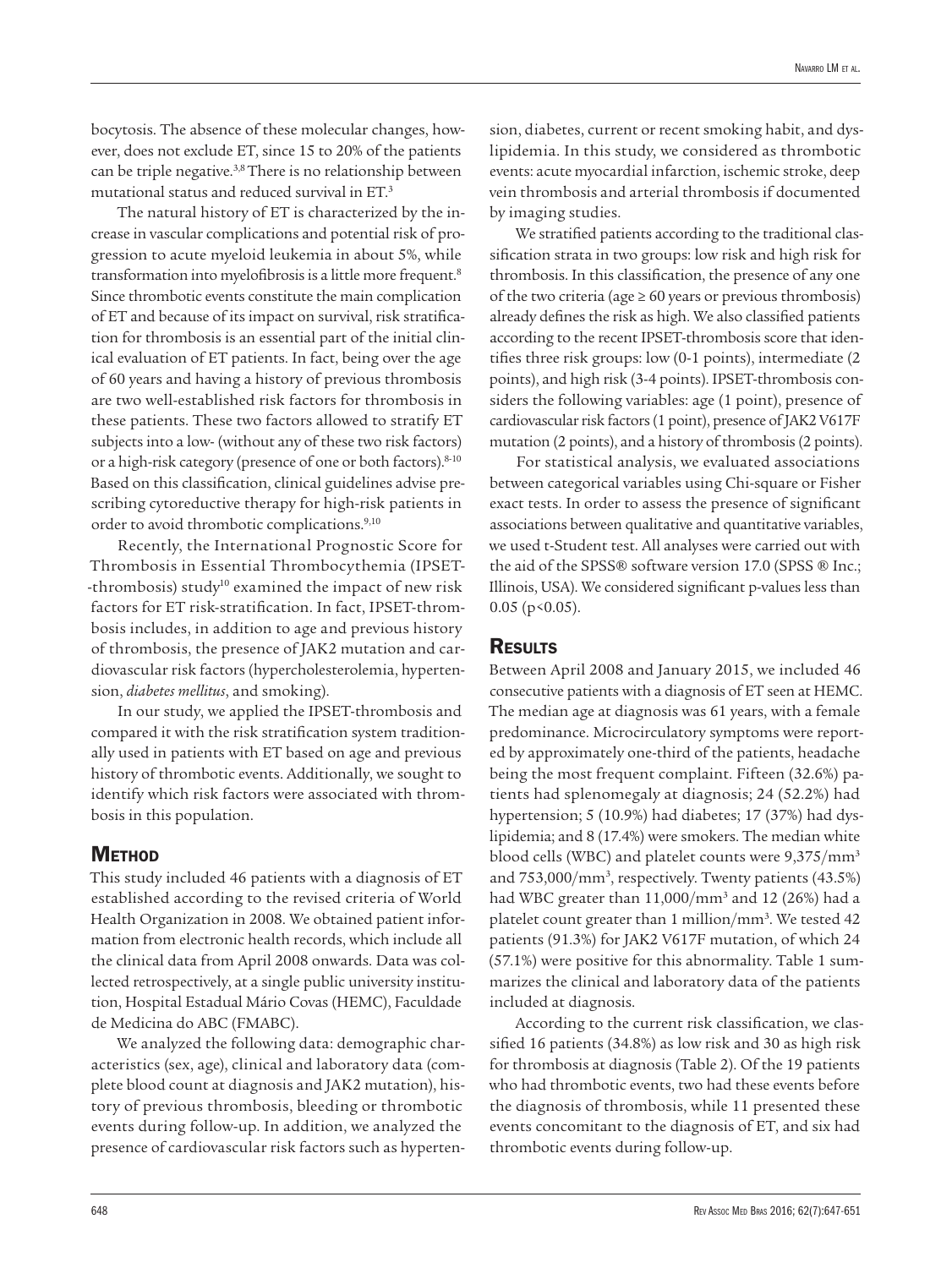bocytosis. The absence of these molecular changes, however, does not exclude ET, since 15 to 20% of the patients can be triple negative.3,8 There is no relationship between mutational status and reduced survival in ET.3

The natural history of ET is characterized by the increase in vascular complications and potential risk of progression to acute myeloid leukemia in about 5%, while transformation into myelofibrosis is a little more frequent.8 Since thrombotic events constitute the main complication of ET and because of its impact on survival, risk stratification for thrombosis is an essential part of the initial clinical evaluation of ET patients. In fact, being over the age of 60 years and having a history of previous thrombosis are two well-established risk factors for thrombosis in these patients. These two factors allowed to stratify ET subjects into a low- (without any of these two risk factors) or a high-risk category (presence of one or both factors).<sup>8-10</sup> Based on this classification, clinical guidelines advise prescribing cytoreductive therapy for high-risk patients in order to avoid thrombotic complications.<sup>9,10</sup>

Recently, the International Prognostic Score for Thrombosis in Essential Thrombocythemia (IPSET- -thrombosis) study<sup>10</sup> examined the impact of new risk factors for ET risk-stratification. In fact, IPSET-thrombosis includes, in addition to age and previous history of thrombosis, the presence of JAK2 mutation and cardiovascular risk factors (hypercholesterolemia, hypertension, *diabetes mellitus*, and smoking).

In our study, we applied the IPSET-thrombosis and compared it with the risk stratification system traditionally used in patients with ET based on age and previous history of thrombotic events. Additionally, we sought to identify which risk factors were associated with thrombosis in this population.

### **METHOD**

This study included 46 patients with a diagnosis of ET established according to the revised criteria of World Health Organization in 2008. We obtained patient information from electronic health records, which include all the clinical data from April 2008 onwards. Data was collected retrospectively, at a single public university institution, Hospital Estadual Mário Covas (HEMC), Faculdade de Medicina do ABC (FMABC).

We analyzed the following data: demographic characteristics (sex, age), clinical and laboratory data (complete blood count at diagnosis and JAK2 mutation), history of previous thrombosis, bleeding or thrombotic events during follow-up. In addition, we analyzed the presence of cardiovascular risk factors such as hyperten-

sion, diabetes, current or recent smoking habit, and dyslipidemia. In this study, we considered as thrombotic events: acute myocardial infarction, ischemic stroke, deep vein thrombosis and arterial thrombosis if documented by imaging studies.

We stratified patients according to the traditional classification strata in two groups: low risk and high risk for thrombosis. In this classification, the presence of any one of the two criteria (age  $\geq 60$  years or previous thrombosis) already defines the risk as high. We also classified patients according to the recent IPSET-thrombosis score that identifies three risk groups: low (0-1 points), intermediate (2 points), and high risk (3-4 points). IPSET-thrombosis considers the following variables: age (1 point), presence of cardiovascular risk factors (1 point), presence of JAK2 V617F mutation (2 points), and a history of thrombosis (2 points).

For statistical analysis, we evaluated associations between categorical variables using Chi-square or Fisher exact tests. In order to assess the presence of significant associations between qualitative and quantitative variables, we used t-Student test. All analyses were carried out with the aid of the SPSS® software version 17.0 (SPSS ® Inc.; Illinois, USA). We considered significant p-values less than  $0.05$  (p < 0.05).

## **RESULTS**

Between April 2008 and January 2015, we included 46 consecutive patients with a diagnosis of ET seen at HEMC. The median age at diagnosis was 61 years, with a female predominance. Microcirculatory symptoms were reported by approximately one-third of the patients, headache being the most frequent complaint. Fifteen (32.6%) patients had splenomegaly at diagnosis; 24 (52.2%) had hypertension; 5 (10.9%) had diabetes; 17 (37%) had dyslipidemia; and 8 (17.4%) were smokers. The median white blood cells (WBC) and platelet counts were 9,375/mm3 and 753,000/mm<sup>3</sup>, respectively. Twenty patients (43.5%) had WBC greater than 11,000/mm3 and 12 (26%) had a platelet count greater than 1 million/mm<sup>3</sup>. We tested 42 patients (91.3%) for JAK2 V617F mutation, of which 24 (57.1%) were positive for this abnormality. Table 1 summarizes the clinical and laboratory data of the patients included at diagnosis.

According to the current risk classification, we classified 16 patients (34.8%) as low risk and 30 as high risk for thrombosis at diagnosis (Table 2). Of the 19 patients who had thrombotic events, two had these events before the diagnosis of thrombosis, while 11 presented these events concomitant to the diagnosis of ET, and six had thrombotic events during follow-up.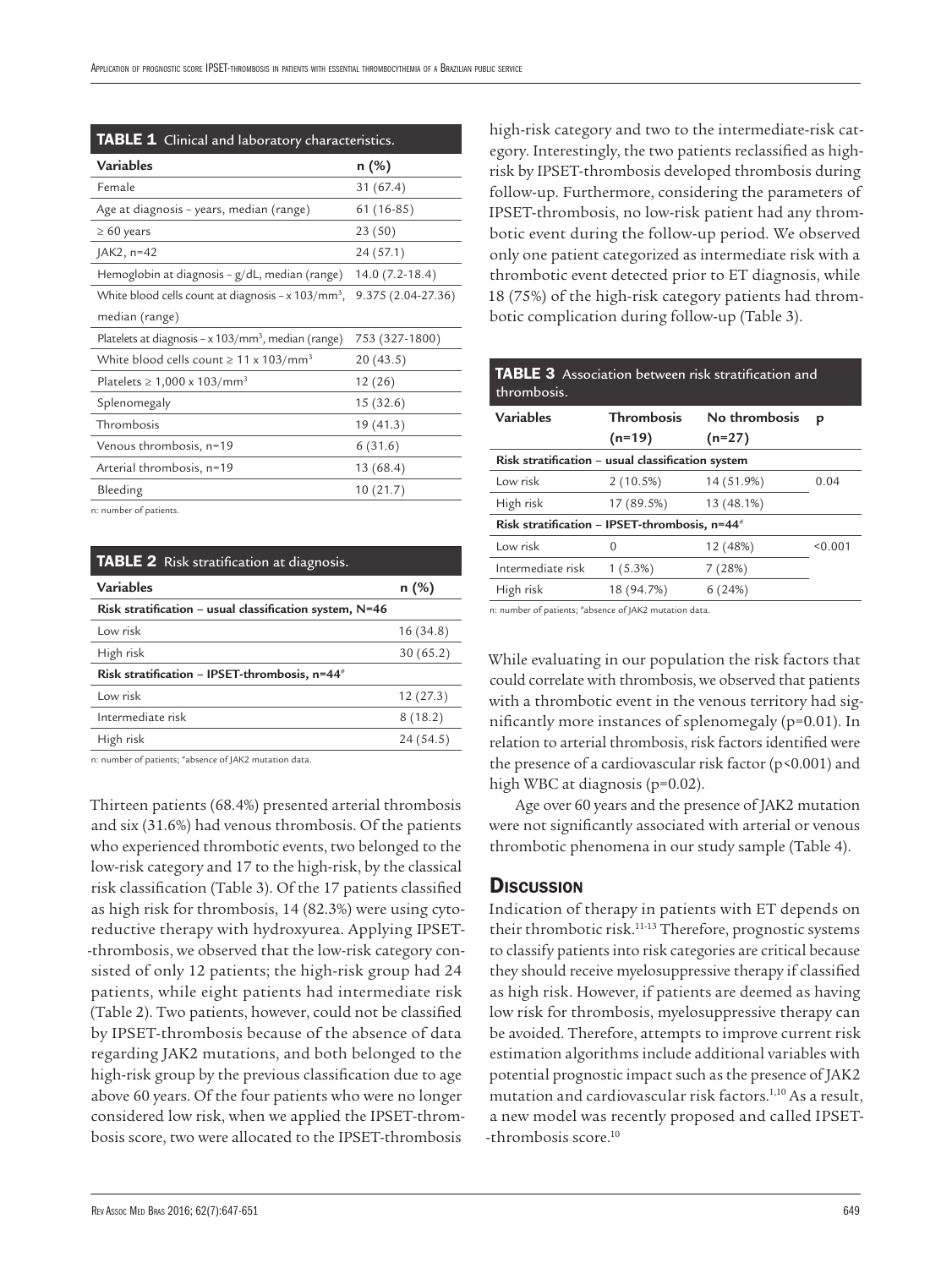| TABLE 1 Clinical and laboratory characteristics.                  |                    |  |  |  |  |
|-------------------------------------------------------------------|--------------------|--|--|--|--|
| <b>Variables</b>                                                  | n (%)              |  |  |  |  |
| Female                                                            | 31 (67.4)          |  |  |  |  |
| Age at diagnosis - years, median (range)                          | 61 (16-85)         |  |  |  |  |
| $\geq 60$ years                                                   | 23(50)             |  |  |  |  |
| $AK2, n=42$                                                       | 24 (57.1)          |  |  |  |  |
| Hemoglobin at diagnosis - g/dL, median (range)                    | $14.0(7.2-18.4)$   |  |  |  |  |
| White blood cells count at diagnosis $-x$ 103/mm <sup>3</sup> ,   | 9.375 (2.04-27.36) |  |  |  |  |
| median (range)                                                    |                    |  |  |  |  |
| Platelets at diagnosis – $x$ 103/mm <sup>3</sup> , median (range) | 753 (327-1800)     |  |  |  |  |
| White blood cells count $\geq 11 \times 103/mm^3$                 | 20 (43.5)          |  |  |  |  |
| Platelets $\geq 1,000 \times 103/mm^3$                            | 12(26)             |  |  |  |  |
| Splenomegaly                                                      | 15(32.6)           |  |  |  |  |
| Thrombosis                                                        | 19 (41.3)          |  |  |  |  |
| Venous thrombosis, n=19                                           | 6(31.6)            |  |  |  |  |
| Arterial thrombosis, n=19                                         | 13(68.4)           |  |  |  |  |
| Bleeding                                                          | 10(21.7)           |  |  |  |  |

n: number of patients.

| <b>TABLE 2</b> Risk stratification at diagnosis.          |           |  |  |  |  |
|-----------------------------------------------------------|-----------|--|--|--|--|
| <b>Variables</b>                                          | n (%)     |  |  |  |  |
| Risk stratification – usual classification system, $N=46$ |           |  |  |  |  |
| Low risk                                                  | 16(34.8)  |  |  |  |  |
| High risk                                                 | 30(65.2)  |  |  |  |  |
| Risk stratification - IPSET-thrombosis, n=44 <sup>#</sup> |           |  |  |  |  |
| Low risk                                                  | 12(27.3)  |  |  |  |  |
| Intermediate risk                                         | 8(18.2)   |  |  |  |  |
| High risk                                                 | 24 (54.5) |  |  |  |  |
|                                                           |           |  |  |  |  |

n: number of patients; #absence of JAK2 mutation data.

Thirteen patients (68.4%) presented arterial thrombosis and six (31.6%) had venous thrombosis. Of the patients who experienced thrombotic events, two belonged to the low-risk category and 17 to the high-risk, by the classical risk classification (Table 3). Of the 17 patients classified as high risk for thrombosis, 14 (82.3%) were using cytoreductive therapy with hydroxyurea. Applying IPSET- -thrombosis, we observed that the low-risk category consisted of only 12 patients; the high-risk group had 24 patients, while eight patients had intermediate risk (Table 2). Two patients, however, could not be classified by IPSET-thrombosis because of the absence of data regarding JAK2 mutations, and both belonged to the high-risk group by the previous classification due to age above 60 years. Of the four patients who were no longer considered low risk, when we applied the IPSET-thrombosis score, two were allocated to the IPSET-thrombosis

high-risk category and two to the intermediate-risk category. Interestingly, the two patients reclassified as highrisk by IPSET-thrombosis developed thrombosis during follow-up. Furthermore, considering the parameters of IPSET-thrombosis, no low-risk patient had any thrombotic event during the follow-up period. We observed only one patient categorized as intermediate risk with a thrombotic event detected prior to ET diagnosis, while 18 (75%) of the high-risk category patients had thrombotic complication during follow-up (Table 3).

| <b>TABLE 3</b> Association between risk stratification and<br>thrombosis. |                                    |            |         |  |  |  |  |
|---------------------------------------------------------------------------|------------------------------------|------------|---------|--|--|--|--|
| Variables                                                                 | <b>Thrombosis</b><br>No thrombosis |            | p       |  |  |  |  |
|                                                                           | $(n=19)$                           | $(n=27)$   |         |  |  |  |  |
| Risk stratification - usual classification system                         |                                    |            |         |  |  |  |  |
| Low risk                                                                  | 2(10.5%)                           | 14 (51.9%) | 0.04    |  |  |  |  |
| High risk                                                                 | 17 (89.5%)                         | 13 (48.1%) |         |  |  |  |  |
| Risk stratification - IPSET-thrombosis, n=44 <sup>#</sup>                 |                                    |            |         |  |  |  |  |
| Low risk                                                                  | 0                                  | 12 (48%)   | < 0.001 |  |  |  |  |
| Intermediate risk                                                         | 1(5.3%)                            | 7(28%)     |         |  |  |  |  |
| High risk                                                                 | 18 (94.7%)                         | 6(24%)     |         |  |  |  |  |
|                                                                           |                                    |            |         |  |  |  |  |

n: number of patients; #absence of JAK2 mutation data.

While evaluating in our population the risk factors that could correlate with thrombosis, we observed that patients with a thrombotic event in the venous territory had significantly more instances of splenomegaly (p=0.01). In relation to arterial thrombosis, risk factors identified were the presence of a cardiovascular risk factor ( $p$ <0.001) and high WBC at diagnosis (p=0.02).

Age over 60 years and the presence of JAK2 mutation were not significantly associated with arterial or venous thrombotic phenomena in our study sample (Table 4).

#### **Discussion**

Indication of therapy in patients with ET depends on their thrombotic risk.11-13 Therefore, prognostic systems to classify patients into risk categories are critical because they should receive myelosuppressive therapy if classified as high risk. However, if patients are deemed as having low risk for thrombosis, myelosuppressive therapy can be avoided. Therefore, attempts to improve current risk estimation algorithms include additional variables with potential prognostic impact such as the presence of JAK2 mutation and cardiovascular risk factors.<sup>1,10</sup> As a result, a new model was recently proposed and called IPSET- -thrombosis score.<sup>10</sup>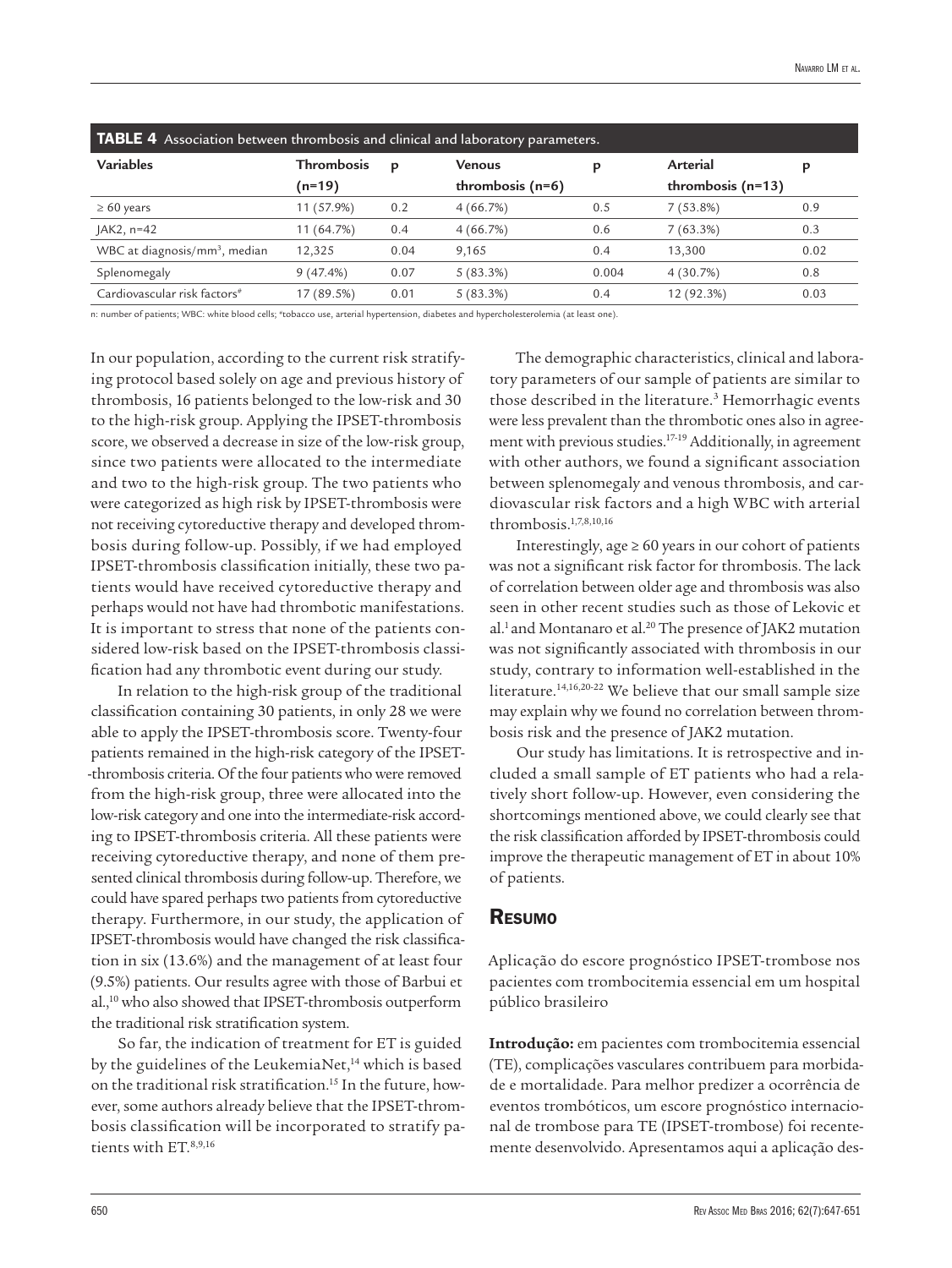| TABLE 4 Association between thrombosis and clinical and laboratory parameters. |                   |      |                    |       |                     |      |  |  |  |
|--------------------------------------------------------------------------------|-------------------|------|--------------------|-------|---------------------|------|--|--|--|
| <b>Variables</b>                                                               | <b>Thrombosis</b> | p    | Venous             |       | Arterial            | р    |  |  |  |
|                                                                                | $(n=19)$          |      | thrombosis $(n=6)$ |       | thrombosis $(n=13)$ |      |  |  |  |
| $\geq 60$ years                                                                | 11 (57.9%)        | 0.2  | 4(66.7%)           | 0.5   | $7(53.8\%)$         | 0.9  |  |  |  |
| $AK2, n=42$                                                                    | 11 (64.7%)        | 0.4  | 4(66.7%)           | 0.6   | 7(63.3%)            | 0.3  |  |  |  |
| WBC at diagnosis/ $mm3$ , median                                               | 12,325            | 0.04 | 9,165              | 0.4   | 13.300              | 0.02 |  |  |  |
| Splenomegaly                                                                   | 9(47.4%)          | 0.07 | 5(83.3%)           | 0.004 | 4(30.7%)            | 0.8  |  |  |  |
| Cardiovascular risk factors <sup>#</sup>                                       | 17 (89.5%)        | 0.01 | $5(83.3\%)$        | 0.4   | 12 (92.3%)          | 0.03 |  |  |  |

n: number of patients; WBC: white blood cells; #tobacco use, arterial hypertension, diabetes and hypercholesterolemia (at least one).

In our population, according to the current risk stratifying protocol based solely on age and previous history of thrombosis, 16 patients belonged to the low-risk and 30 to the high-risk group. Applying the IPSET-thrombosis score, we observed a decrease in size of the low-risk group, since two patients were allocated to the intermediate and two to the high-risk group. The two patients who were categorized as high risk by IPSET-thrombosis were not receiving cytoreductive therapy and developed thrombosis during follow-up. Possibly, if we had employed IPSET-thrombosis classification initially, these two patients would have received cytoreductive therapy and perhaps would not have had thrombotic manifestations. It is important to stress that none of the patients considered low-risk based on the IPSET-thrombosis classification had any thrombotic event during our study.

In relation to the high-risk group of the traditional classification containing 30 patients, in only 28 we were able to apply the IPSET-thrombosis score. Twenty-four patients remained in the high-risk category of the IPSET- -thrombosis criteria. Of the four patients who were removed from the high-risk group, three were allocated into the low-risk category and one into the intermediate-risk according to IPSET-thrombosis criteria. All these patients were receiving cytoreductive therapy, and none of them presented clinical thrombosis during follow-up. Therefore, we could have spared perhaps two patients from cytoreductive therapy. Furthermore, in our study, the application of IPSET-thrombosis would have changed the risk classification in six (13.6%) and the management of at least four (9.5%) patients. Our results agree with those of Barbui et al.,10 who also showed that IPSET-thrombosis outperform the traditional risk stratification system.

So far, the indication of treatment for ET is guided by the guidelines of the LeukemiaNet,<sup>14</sup> which is based on the traditional risk stratification.15 In the future, however, some authors already believe that the IPSET-thrombosis classification will be incorporated to stratify patients with ET.8,9,16

The demographic characteristics, clinical and laboratory parameters of our sample of patients are similar to those described in the literature.<sup>3</sup> Hemorrhagic events were less prevalent than the thrombotic ones also in agreement with previous studies.17-19 Additionally, in agreement with other authors, we found a significant association between splenomegaly and venous thrombosis, and cardiovascular risk factors and a high WBC with arterial thrombosis.1,7,8,10,16

Interestingly, age  $\geq 60$  years in our cohort of patients was not a significant risk factor for thrombosis. The lack of correlation between older age and thrombosis was also seen in other recent studies such as those of Lekovic et al.<sup>1</sup> and Montanaro et al.<sup>20</sup> The presence of JAK2 mutation was not significantly associated with thrombosis in our study, contrary to information well-established in the literature.14,16,20-22 We believe that our small sample size may explain why we found no correlation between thrombosis risk and the presence of JAK2 mutation.

Our study has limitations. It is retrospective and included a small sample of ET patients who had a relatively short follow-up. However, even considering the shortcomings mentioned above, we could clearly see that the risk classification afforded by IPSET-thrombosis could improve the therapeutic management of ET in about 10% of patients.

#### Resumo

Aplicação do escore prognóstico IPSET-trombose nos pacientes com trombocitemia essencial em um hospital público brasileiro

**Introdução:** em pacientes com trombocitemia essencial (TE), complicações vasculares contribuem para morbidade e mortalidade. Para melhor predizer a ocorrência de eventos trombóticos, um escore prognóstico internacional de trombose para TE (IPSET-trombose) foi recentemente desenvolvido. Apresentamos aqui a aplicação des